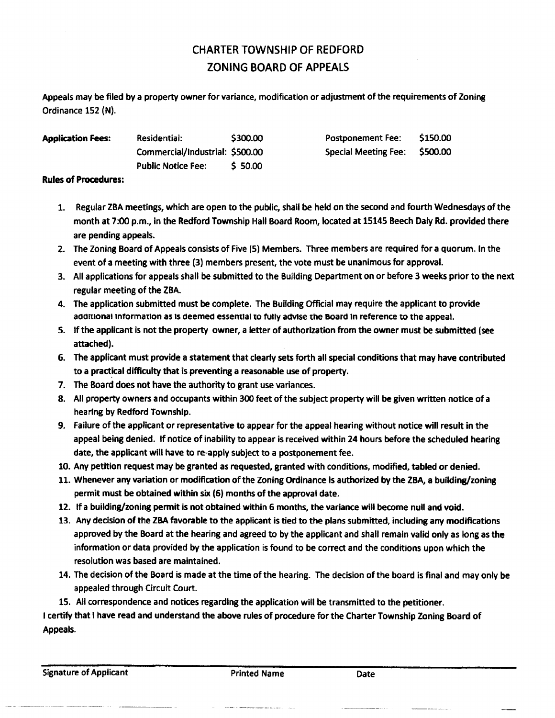## CHARTER TOWNSHIP OF REDFORD ZONING BOARD OF APPEALS

Appeals may be filed by a property owner for variance, modification or adjustment of the requirements of Zoning Ordinance 152 (N).

| <b>Application Fees:</b> | Residential:                    | \$300.00 | <b>Postponement Fee:</b>      | \$150.00 |
|--------------------------|---------------------------------|----------|-------------------------------|----------|
|                          | Commercial/Industrial: \$500.00 |          | Special Meeting Fee: \$500.00 |          |
|                          | <b>Public Notice Fee:</b>       | \$50.00  |                               |          |

## **Rules of Procedures:**

- 1. Regular ZBA meetings, which are open to the public, shall be held on the second and fourth Wednesdays of the month at 7:00 p.m., in the Redford Township Hall Board Room, located at 15145 Beech Daly Rd. provided there are pending appeals.
- 2. The Zoning Board of Appeals consists of Five (5) Members. Three members are required for a quorum. In the event of a meeting with three (3) members present, the vote must be unanimous for approval.
- 3. All applications for appeals shall be submitted to the Building Department on or before 3 weeks prior to the next regular meeting of the ZBA.
- 4. The application submitted must be complete. The Building Official may require the applicant to provide **addiTionai informaTion** as ts deemed essential to fully advise the Board In reference to the appeal.
- 5. If the applicant is not the property owner, a letter of authorization from the owner must be submitted (see attached).
- 6. The applicant must provide a statement that clearly sets forth ail special conditions that may have contributed to a practical difficulty that is preventing a reasonable use of property.
- 7. The Board does not have the authority to grant use variances.
- 8. All property owners and occupants within 300 feet of the subject property will be given written notice of a hearing by Redford Township.
- 9. Failure of the applicant or representative to appear for the appeal hearing without notice will result in the appeal being denied, if notice of inability to appear is received within 24 hours before the scheduled hearing date, the applicant will have to re-apply subject to a postponement fee.
- 10. Any petition request may be granted as requested, granted with conditions, modified, tabled or denied.
- 11. Whenever any variation or modification of the Zoning Ordinance is authorized by the ZBA, a building/zoning permit must be obtained within six (6) months of the approval date.
- 12. If a building/zoning permit is not obtained within 6 months, the variance will become null and void.
- 13. Any decision of the ZBA favorable to the applicant is tied to the plans submitted, including any modifications approved by the Board at the hearing and agreed to by the applicant and shall remain valid only as long as the information or data provided by the application is found to be correct and the conditions upon which the resolution was based are maintained.
- 14. The decision of the Board is made at the time of the hearing. The decision of the board is final and may only be appealed through Circuit Court.
- 15. All correspondence and notices regarding the application will be transmitted to the petitioner.

I certify that I have read and understand the above rules of procedure for the Charter Township Zoning Board of Appeals.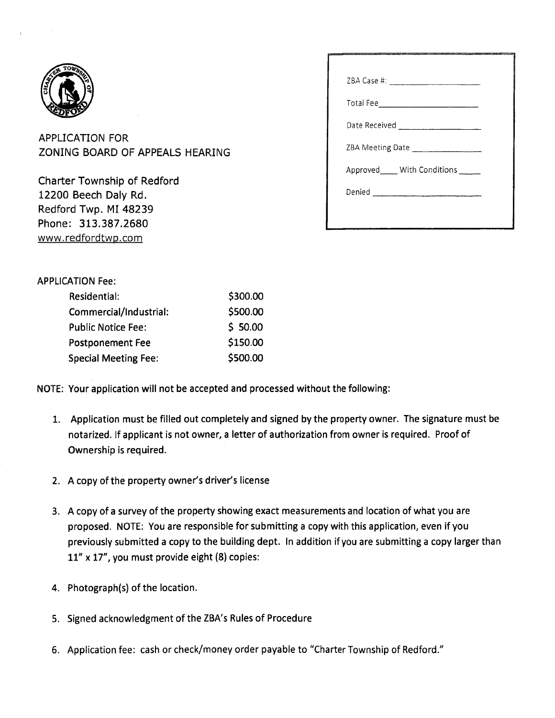

APPLICATION FOR ZONING BOARD OF APPEALS HEARING

Charter Township of Redford 12200 Beech Daly Rd. Redford Twp. MI 48239 Phone: 313.387.2680 www.redfordtwp.com

| ZBA Meeting Date ____________________ |  |
|---------------------------------------|--|
| Approved_____ With Conditions _____   |  |
|                                       |  |
|                                       |  |

## APPLICATION Fee:

| Residential:                | \$300.00 |
|-----------------------------|----------|
| Commercial/Industrial:      | \$500.00 |
| <b>Public Notice Fee:</b>   | \$50.00  |
| <b>Postponement Fee</b>     | \$150.00 |
| <b>Special Meeting Fee:</b> | \$500.00 |

NOTE: Your application will not be accepted and processed without the following:

- 1. Application must be filled out completely and signed by the property owner. The signature must be notarized, if applicant is not owner, a letter of authorization from owner is required. Proof of Ownership is required.
- 2. A copy of the property owner's driver's license
- 3. A copy of a survey of the property showing exact measurements and location of what you are proposed. NOTE: You are responsible for submitting a copy with this application, even if you previously submitted a copy to the building dept. In addition if you are submitting a copy larger than 11" **X** 17", you must provide eight (8) copies:
- 4. Photograph(s) of the location.
- 5. Signed acknowledgment of the ZBA's Rules of Procedure
- 6. Application fee: cash or check/money order payable to "Charter Township of Redford."